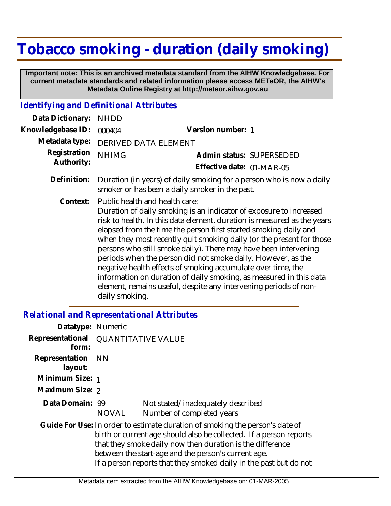## **Tobacco smoking - duration (daily smoking)**

 **Important note: This is an archived metadata standard from the AIHW Knowledgebase. For current metadata standards and related information please access METeOR, the AIHW's Metadata Online Registry at http://meteor.aihw.gov.au**

## *Identifying and Definitional Attributes*

| Data Dictionary:           | <b>NHDD</b>                                                                                                                                                                                                                                                                                                                                                                                                                                                                                                                                                                                                                                                                                |                                                       |
|----------------------------|--------------------------------------------------------------------------------------------------------------------------------------------------------------------------------------------------------------------------------------------------------------------------------------------------------------------------------------------------------------------------------------------------------------------------------------------------------------------------------------------------------------------------------------------------------------------------------------------------------------------------------------------------------------------------------------------|-------------------------------------------------------|
| Knowledgebase ID:          | 000404                                                                                                                                                                                                                                                                                                                                                                                                                                                                                                                                                                                                                                                                                     | Version number: 1                                     |
| Metadata type:             | <b>DERIVED DATA ELEMENT</b>                                                                                                                                                                                                                                                                                                                                                                                                                                                                                                                                                                                                                                                                |                                                       |
| Registration<br>Authority: | <b>NHIMG</b>                                                                                                                                                                                                                                                                                                                                                                                                                                                                                                                                                                                                                                                                               | Admin status: SUPERSEDED<br>Effective date: 01-MAR-05 |
| Definition:                | Duration (in years) of daily smoking for a person who is now a daily<br>smoker or has been a daily smoker in the past.                                                                                                                                                                                                                                                                                                                                                                                                                                                                                                                                                                     |                                                       |
| Context:                   | Public health and health care:<br>Duration of daily smoking is an indicator of exposure to increased<br>risk to health. In this data element, duration is measured as the years<br>elapsed from the time the person first started smoking daily and<br>when they most recently quit smoking daily (or the present for those<br>persons who still smoke daily). There may have been intervening<br>periods when the person did not smoke daily. However, as the<br>negative health effects of smoking accumulate over time, the<br>information on duration of daily smoking, as measured in this data<br>element, remains useful, despite any intervening periods of non-<br>daily smoking. |                                                       |

## *Relational and Representational Attributes*

| Datatype: Numeric         |                                     |                                                                                                                                                                                                                                                                                                                                             |  |
|---------------------------|-------------------------------------|---------------------------------------------------------------------------------------------------------------------------------------------------------------------------------------------------------------------------------------------------------------------------------------------------------------------------------------------|--|
| form:                     | Representational QUANTITATIVE VALUE |                                                                                                                                                                                                                                                                                                                                             |  |
| Representation<br>layout: | – NN                                |                                                                                                                                                                                                                                                                                                                                             |  |
| Minimum Size: 1           |                                     |                                                                                                                                                                                                                                                                                                                                             |  |
| Maximum Size: 2           |                                     |                                                                                                                                                                                                                                                                                                                                             |  |
| Data Domain: 99           | NOVAL                               | Not stated/inadequately described<br>Number of completed years                                                                                                                                                                                                                                                                              |  |
|                           |                                     | Guide For Use: In order to estimate duration of smoking the person's date of<br>birth or current age should also be collected. If a person reports<br>that they smoke daily now then duration is the difference<br>between the start-age and the person's current age.<br>If a person reports that they smoked daily in the past but do not |  |